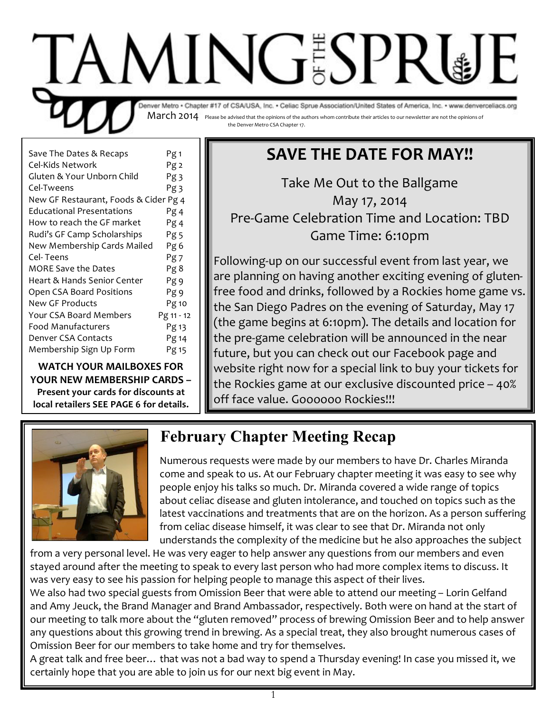

| Save The Dates & Recaps               | Pg <sub>1</sub> |
|---------------------------------------|-----------------|
| Cel-Kids Network                      | Pg <sub>2</sub> |
| Gluten & Your Unborn Child            | Pg 3            |
| Cel-Tweens                            | Pg 3            |
| New GF Restaurant, Foods & Cider Pg 4 |                 |
| <b>Educational Presentations</b>      | Pg 4            |
| How to reach the GF market            | Pg 4            |
| Rudi's GF Camp Scholarships           | Pg 5            |
| New Membership Cards Mailed           | Pg 6            |
| Cel- Teens                            | Pg7             |
| MORE Save the Dates                   | Pg 8            |
| Heart & Hands Senior Center           | Pg <sub>9</sub> |
| Open CSA Board Positions              | Pg 9            |
| New GF Products                       | Pg 10           |
| Your CSA Board Members                | Pg 11 - 12      |
| Food Manufacturers                    | Pg 13           |
| Denver CSA Contacts                   | Pg 14           |
| Membership Sign Up Form               | Pg 15           |
|                                       |                 |

**WATCH YOUR MAILBOXES FOR YOUR NEW MEMBERSHIP CARDS -**

Present your cards for discounts at local retailers SEE PAGE 6 for details.

# **SAVE THE DATE FOR MAY!!**

Take Me Out to the Ballgame May 17, 2014 Pre-Game Celebration Time and Location: TBD Game Time: 6:10pm

Following-up on our successful event from last year, we are planning on having another exciting evening of glutenfree food and drinks, followed by a Rockies home game vs. the San Diego Padres on the evening of Saturday, May 17 (the game begins at 6:10pm). The details and location for the pre-game celebration will be announced in the near future, but you can check out our Facebook page and website right now for a special link to buy your tickets for the Rockies game at our exclusive discounted price - 40% off face value. Goooooo Rockies!!!



### **February Chapter Meeting Recap**

Numerous requests were made by our members to have Dr. Charles Miranda come and speak to us. At our February chapter meeting it was easy to see why people enjoy his talks so much. Dr. Miranda covered a wide range of topics about celiac disease and gluten intolerance, and touched on topics such as the latest vaccinations and treatments that are on the horizon. As a person suffering from celiac disease himself, it was clear to see that Dr. Miranda not only understands the complexity of the medicine but he also approaches the subject

from a very personal level. He was very eager to help answer any questions from our members and even stayed around after the meeting to speak to every last person who had more complex items to discuss. It was very easy to see his passion for helping people to manage this aspect of their lives.

We also had two special guests from Omission Beer that were able to attend our meeting - Lorin Gelfand and Amy Jeuck, the Brand Manager and Brand Ambassador, respectively. Both were on hand at the start of our meeting to talk more about the "gluten removed" process of brewing Omission Beer and to help answer any questions about this growing trend in brewing. As a special treat, they also brought numerous cases of Omission Beer for our members to take home and try for themselves.

A great talk and free beer... that was not a bad way to spend a Thursday evening! In case you missed it, we certainly hope that you are able to join us for our next big event in May.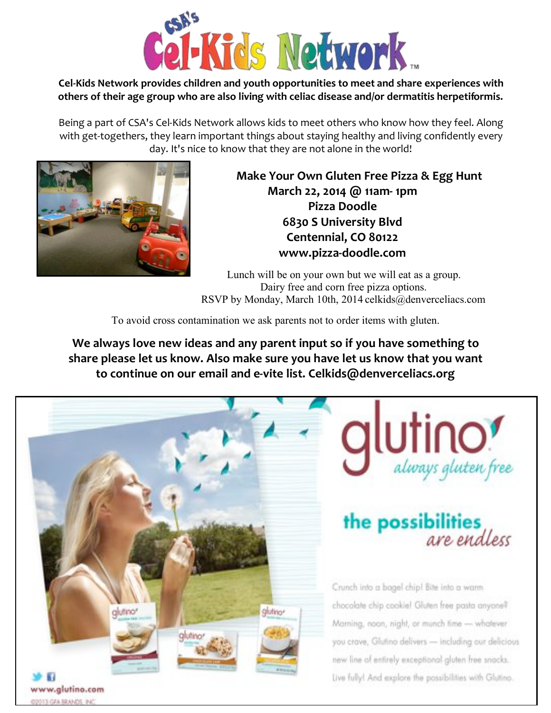

#### Cel-Kids Network provides children and youth opportunities to meet and share experiences with others of their age group who are also living with celiac disease and/or dermatitis herpetiformis.

Being a part of CSA's Cel-Kids Network allows kids to meet others who know how they feel. Along with get-togethers, they learn important things about staying healthy and living confidently every day. It's nice to know that they are not alone in the world!



Make Your Own Gluten Free Pizza & Egg Hunt March 22, 2014 @ 11am-1pm Pizza Doodle 6830 S University Blvd Centennial, CO 80122 www.pizza-doodle.com

Lunch will be on your own but we will eat as a group. Dairy free and corn free pizza options. RSVP by Monday, March 10th, 2014 celkids@denverceliacs.com

To avoid cross contamination we ask parents not to order items with gluten.

We always love new ideas and any parent input so if you have something to share please let us know. Also make sure you have let us know that you want to continue on our email and e-vite list. Celkids@denverceliacs.org

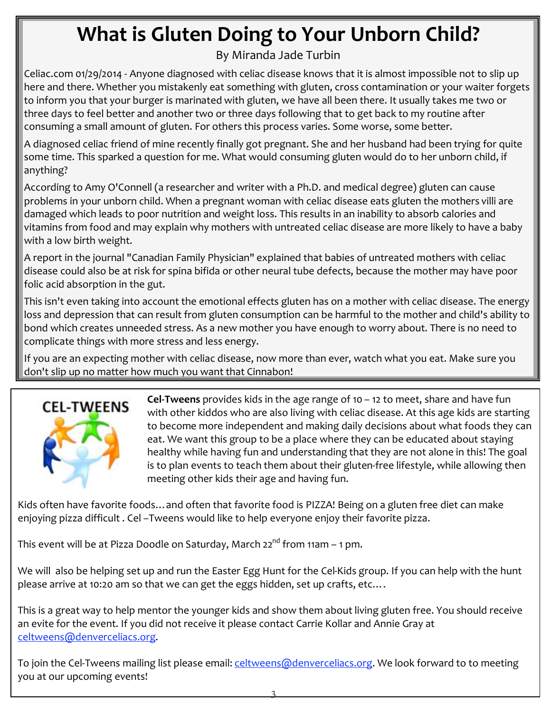# What is Gluten Doing to Your Unborn Child?

By Miranda Jade Turbin

Celiac.com 01/29/2014 - Anyone diagnosed with celiac disease knows that it is almost impossible not to slip up here and there. Whether you mistakenly eat something with gluten, cross contamination or your waiter forgets to inform you that your burger is marinated with gluten, we have all been there. It usually takes me two or three days to feel better and another two or three days following that to get back to my routine after consuming a small amount of gluten. For others this process varies. Some worse, some better.

A diagnosed celiac friend of mine recently finally got pregnant. She and her husband had been trying for quite some time. This sparked a question for me. What would consuming gluten would do to her unborn child, if anything?

According to Amy O'Connell (a researcher and writer with a Ph.D. and medical degree) gluten can cause problems in your unborn child. When a pregnant woman with celiac disease eats gluten the mothers villi are damaged which leads to poor nutrition and weight loss. This results in an inability to absorb calories and vitamins from food and may explain why mothers with untreated celiac disease are more likely to have a baby with a low birth weight.

A report in the journal "Canadian Family Physician" explained that babies of untreated mothers with celiac disease could also be at risk for spina bifida or other neural tube defects, because the mother may have poor folic acid absorption in the gut.

This isn't even taking into account the emotional effects gluten has on a mother with celiac disease. The energy loss and depression that can result from gluten consumption can be harmful to the mother and child's ability to bond which creates unneeded stress. As a new mother you have enough to worry about. There is no need to complicate things with more stress and less energy.

If you are an expecting mother with celiac disease, now more than ever, watch what you eat. Make sure you don't slip up no matter how much you want that Cinnabon!



Cel-Tweens provides kids in the age range of  $10 - 12$  to meet, share and have fun with other kiddos who are also living with celiac disease. At this age kids are starting to become more independent and making daily decisions about what foods they can eat. We want this group to be a place where they can be educated about staying healthy while having fun and understanding that they are not alone in this! The goal is to plan events to teach them about their gluten-free lifestyle, while allowing then meeting other kids their age and having fun.

Kids often have favorite foods... and often that favorite food is PIZZA! Being on a gluten free diet can make enjoying pizza difficult. Cel-Tweens would like to help everyone enjoy their favorite pizza.

This event will be at Pizza Doodle on Saturday, March 22<sup>nd</sup> from 11am - 1 pm.

We will also be helping set up and run the Easter Egg Hunt for the Cel-Kids group. If you can help with the hunt please arrive at 10:20 am so that we can get the eggs hidden, set up crafts, etc....

This is a great way to help mentor the younger kids and show them about living gluten free. You should receive an evite for the event. If you did not receive it please contact Carrie Kollar and Annie Gray at celtweens@denverceliacs.org.

To join the Cel-Tweens mailing list please email: celtweens@denverceliacs.org. We look forward to to meeting you at our upcoming events!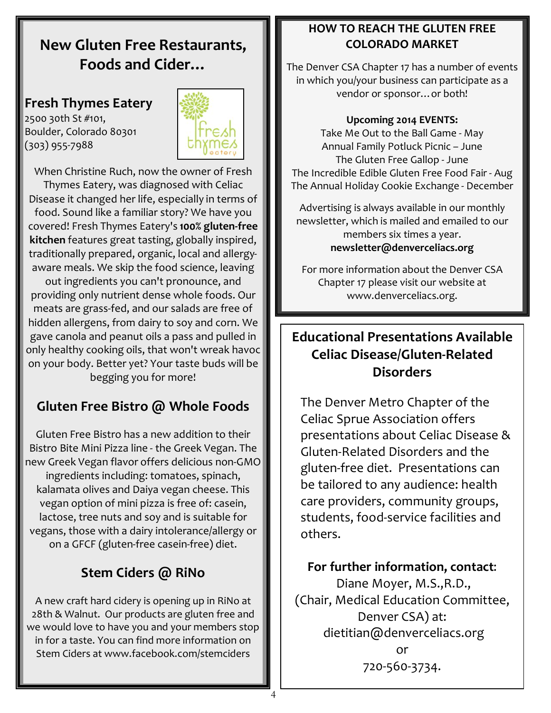### **New Gluten Free Restaurants.** Foods and Cider...

#### **Fresh Thymes Eatery**

2500 30th St #101, Boulder, Colorado 80301  $(303)$  955-7988



When Christine Ruch, now the owner of Fresh Thymes Eatery, was diagnosed with Celiac Disease it changed her life, especially in terms of food. Sound like a familiar story? We have you covered! Fresh Thymes Eatery's 100% gluten-free kitchen features great tasting, globally inspired, traditionally prepared, organic, local and allergyaware meals. We skip the food science, leaving

out ingredients you can't pronounce, and providing only nutrient dense whole foods. Our meats are grass-fed, and our salads are free of hidden allergens, from dairy to soy and corn. We gave canola and peanut oils a pass and pulled in only healthy cooking oils, that won't wreak havoc on your body. Better yet? Your taste buds will be begging you for more!

### Gluten Free Bistro @ Whole Foods

Gluten Free Bistro has a new addition to their Bistro Bite Mini Pizza line - the Greek Vegan. The new Greek Vegan flavor offers delicious non-GMO ingredients including: tomatoes, spinach, kalamata olives and Daiya vegan cheese. This vegan option of mini pizza is free of: casein, lactose, tree nuts and soy and is suitable for vegans, those with a dairy intolerance/allergy or on a GFCF (gluten-free casein-free) diet.

### Stem Ciders @ RiNo

A new craft hard cidery is opening up in RiNo at 28th & Walnut. Our products are gluten free and we would love to have you and your members stop in for a taste. You can find more information on Stem Ciders at www.facebook.com/stemciders

#### **HOW TO REACH THE GLUTEN FREE COLORADO MARKET**

The Denver CSA Chapter 17 has a number of events in which you/your business can participate as a vendor or sponsor... or both!

#### **Upcoming 2014 EVENTS:**

Take Me Out to the Ball Game - May Annual Family Potluck Picnic - June The Gluten Free Gallop - June The Incredible Edible Gluten Free Food Fair - Aug The Annual Holiday Cookie Exchange - December

Advertising is always available in our monthly newsletter, which is mailed and emailed to our members six times a year. newsletter@denverceliacs.org

For more information about the Denver CSA Chapter 17 please visit our website at www.denverceliacs.org.

#### **Educational Presentations Available Celiac Disease/Gluten-Related Disorders**

The Denver Metro Chapter of the **Celiac Sprue Association offers** presentations about Celiac Disease & Gluten-Related Disorders and the gluten-free diet. Presentations can be tailored to any audience: health care providers, community groups, students, food-service facilities and others.

#### For further information, contact:

Diane Moyer, M.S., R.D., (Chair, Medical Education Committee, Denver CSA) at: dietitian@denverceliacs.org 720-560-3734.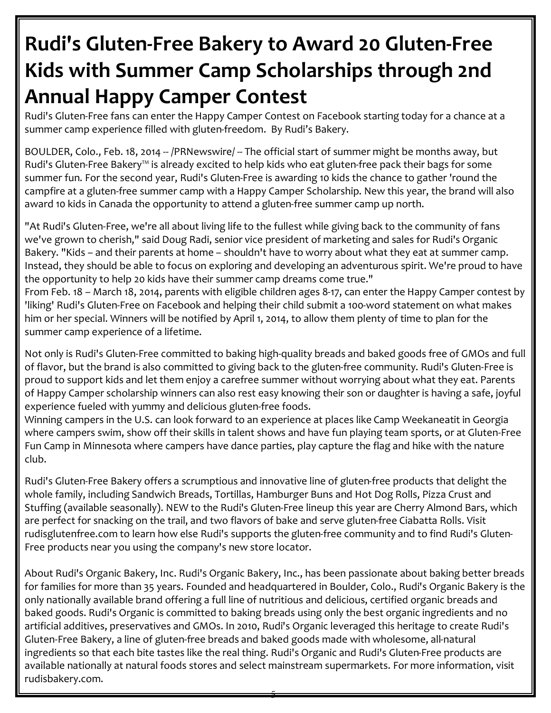# Rudi's Gluten-Free Bakery to Award 20 Gluten-Free Kids with Summer Camp Scholarships through 2nd **Annual Happy Camper Contest**

Rudi's Gluten-Free fans can enter the Happy Camper Contest on Facebook starting today for a chance at a summer camp experience filled with gluten-freedom. By Rudi's Bakery.

BOULDER, Colo., Feb. 18, 2014 -- /PRNewswire/ -- The official start of summer might be months away, but Rudi's Gluten-Free Bakery™ is already excited to help kids who eat gluten-free pack their bags for some summer fun. For the second year, Rudi's Gluten-Free is awarding 10 kids the chance to gather 'round the campfire at a gluten-free summer camp with a Happy Camper Scholarship. New this year, the brand will also award 10 kids in Canada the opportunity to attend a gluten-free summer camp up north.

"At Rudi's Gluten-Free, we're all about living life to the fullest while giving back to the community of fans we've grown to cherish," said Doug Radi, senior vice president of marketing and sales for Rudi's Organic Bakery. "Kids - and their parents at home - shouldn't have to worry about what they eat at summer camp. Instead, they should be able to focus on exploring and developing an adventurous spirit. We're proud to have the opportunity to help 20 kids have their summer camp dreams come true."

From Feb. 18 - March 18, 2014, parents with eligible children ages 8-17, can enter the Happy Camper contest by 'liking' Rudi's Gluten-Free on Facebook and helping their child submit a 100-word statement on what makes him or her special. Winners will be notified by April 1, 2014, to allow them plenty of time to plan for the summer camp experience of a lifetime.

Not only is Rudi's Gluten-Free committed to baking high-quality breads and baked goods free of GMOs and full of flavor, but the brand is also committed to giving back to the gluten-free community. Rudi's Gluten-Free is proud to support kids and let them enjoy a carefree summer without worrying about what they eat. Parents of Happy Camper scholarship winners can also rest easy knowing their son or daughter is having a safe, joyful experience fueled with yummy and delicious gluten-free foods.

Winning campers in the U.S. can look forward to an experience at places like Camp Weekaneatit in Georgia where campers swim, show off their skills in talent shows and have fun playing team sports, or at Gluten-Free Fun Camp in Minnesota where campers have dance parties, play capture the flag and hike with the nature club.

Rudi's Gluten-Free Bakery offers a scrumptious and innovative line of gluten-free products that delight the whole family, including Sandwich Breads, Tortillas, Hamburger Buns and Hot Dog Rolls, Pizza Crust and Stuffing (available seasonally). NEW to the Rudi's Gluten-Free lineup this year are Cherry Almond Bars, which are perfect for snacking on the trail, and two flavors of bake and serve gluten-free Ciabatta Rolls. Visit rudisglutenfree.com to learn how else Rudi's supports the gluten-free community and to find Rudi's Gluten-Free products near you using the company's new store locator.

About Rudi's Organic Bakery, Inc. Rudi's Organic Bakery, Inc., has been passionate about baking better breads for families for more than 35 years. Founded and headquartered in Boulder, Colo., Rudi's Organic Bakery is the only nationally available brand offering a full line of nutritious and delicious, certified organic breads and baked goods. Rudi's Organic is committed to baking breads using only the best organic ingredients and no artificial additives, preservatives and GMOs. In 2010, Rudi's Organic leveraged this heritage to create Rudi's Gluten-Free Bakery, a line of gluten-free breads and baked goods made with wholesome, all-natural ingredients so that each bite tastes like the real thing. Rudi's Organic and Rudi's Gluten-Free products are available nationally at natural foods stores and select mainstream supermarkets. For more information, visit rudisbakery.com.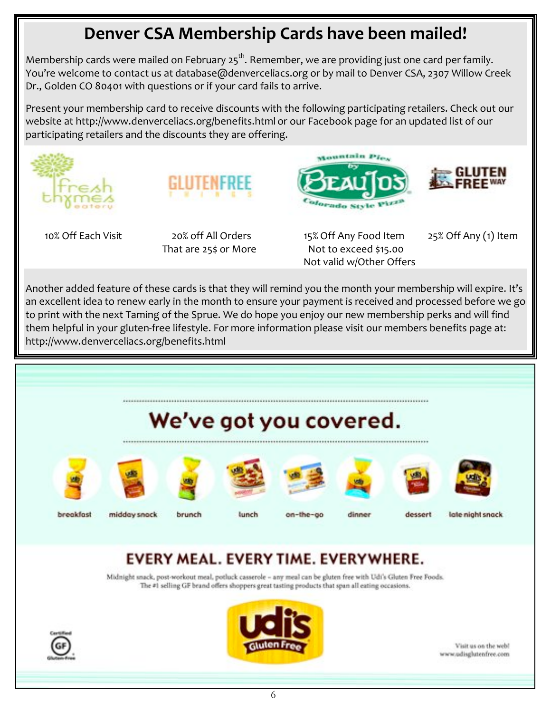### Denver CSA Membership Cards have been mailed!

Membership cards were mailed on February  $25^{th}$ . Remember, we are providing just one card per family. You're welcome to contact us at database@denverceliacs.org or by mail to Denver CSA, 2307 Willow Creek Dr., Golden CO 80401 with questions or if your card fails to arrive.

Present your membership card to receive discounts with the following participating retailers. Check out our website at http://www.denverceliacs.org/benefits.html or our Facebook page for an updated list of our participating retailers and the discounts they are offering.





10% Off Fach Visit

20% off All Orders That are 25\$ or More 15% Off Any Food Item Not to exceed \$15.00 Not valid w/Other Offers

Mountain Place

<sup>oforad</sup>o Style Pizz



25% Off Any (1) Item

Another added feature of these cards is that they will remind you the month your membership will expire. It's an excellent idea to renew early in the month to ensure your payment is received and processed before we go to print with the next Taming of the Sprue. We do hope you enjoy our new membership perks and will find them helpful in your gluten-free lifestyle. For more information please visit our members benefits page at: http://www.denverceliacs.org/benefits.html



## EVERY MEAL. EVERY TIME. EVERYWHERE.

Midnight snack, post-workout meal, potluck casserole - any meal can be gluten free with Udi's Gluten Free Foods. The #1 selling GF brand offers shoppers great tasting products that span all eating occasions.





Visit us on the web! www.udisglutenfree.com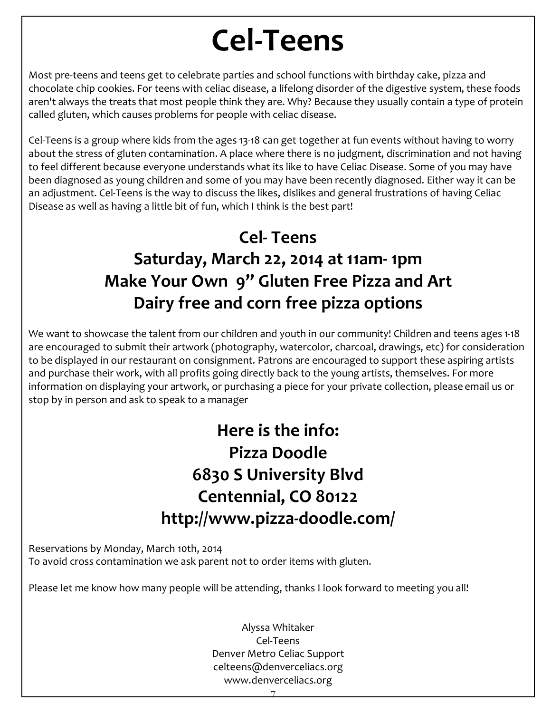# **Cel-Teens**

Most pre-teens and teens get to celebrate parties and school functions with birthday cake, pizza and chocolate chip cookies. For teens with celiac disease, a lifelong disorder of the digestive system, these foods aren't always the treats that most people think they are. Why? Because they usually contain a type of protein called gluten, which causes problems for people with celiac disease.

Cel-Teens is a group where kids from the ages 13-18 can get together at fun events without having to worry about the stress of gluten contamination. A place where there is no judgment, discrimination and not having to feel different because everyone understands what its like to have Celiac Disease. Some of you may have been diagnosed as young children and some of you may have been recently diagnosed. Either way it can be an adjustment. Cel-Teens is the way to discuss the likes, dislikes and general frustrations of having Celiac Disease as well as having a little bit of fun, which I think is the best part!

# **Cel-Teens** Saturday, March 22, 2014 at 11am-1pm Make Your Own 9" Gluten Free Pizza and Art Dairy free and corn free pizza options

We want to showcase the talent from our children and youth in our community! Children and teens ages 1-18 are encouraged to submit their artwork (photography, watercolor, charcoal, drawings, etc) for consideration to be displayed in our restaurant on consignment. Patrons are encouraged to support these aspiring artists and purchase their work, with all profits going directly back to the young artists, themselves. For more information on displaying your artwork, or purchasing a piece for your private collection, please email us or stop by in person and ask to speak to a manager

> Here is the info: Pizza Doodle 6830 S University Blvd Centennial, CO 80122 http://www.pizza-doodle.com/

Reservations by Monday, March 10th, 2014 To avoid cross contamination we ask parent not to order items with gluten.

Please let me know how many people will be attending, thanks I look forward to meeting you all!

Alyssa Whitaker Cel-Teens Denver Metro Celiac Support celteens@denverceliacs.org www.denverceliacs.org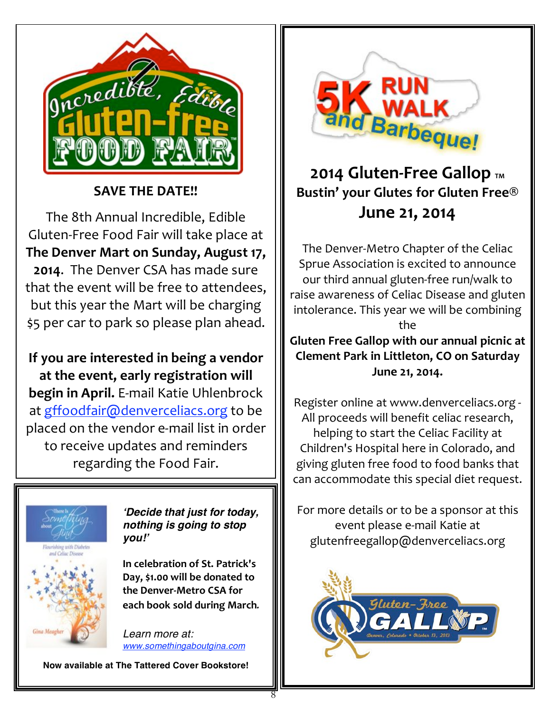

#### **SAVE THE DATE!!**

The 8th Annual Incredible, Edible Gluten-Free Food Fair will take place at The Denver Mart on Sunday, August 17, 2014. The Denver CSA has made sure that the event will be free to attendees. but this year the Mart will be charging \$5 per car to park so please plan ahead.

If you are interested in being a vendor at the event, early registration will begin in April. E-mail Katie Uhlenbrock at gffoodfair@denverceliacs.org to be placed on the vendor e-mail list in order to receive updates and reminders regarding the Food Fair.



'Decide that just for today, nothing is going to stop vou!'

In celebration of St. Patrick's Day, \$1.00 will be donated to the Denver-Metro CSA for each book sold during March.

Learn more at: www.somethingaboutgina.com

Now available at The Tattered Cover Bookstore!



### 2014 Gluten-Free Gallop TM Bustin' your Glutes for Gluten Free® June 21, 2014

The Denver-Metro Chapter of the Celiac Sprue Association is excited to announce our third annual gluten-free run/walk to raise awareness of Celiac Disease and gluten intolerance. This year we will be combining the

Gluten Free Gallop with our annual picnic at **Clement Park in Littleton, CO on Saturday** June 21, 2014.

Register online at www.denverceliacs.org -All proceeds will benefit celiac research, helping to start the Celiac Facility at Children's Hospital here in Colorado, and giving gluten free food to food banks that can accommodate this special diet request.

For more details or to be a sponsor at this event please e-mail Katie at glutenfreegallop@denverceliacs.org

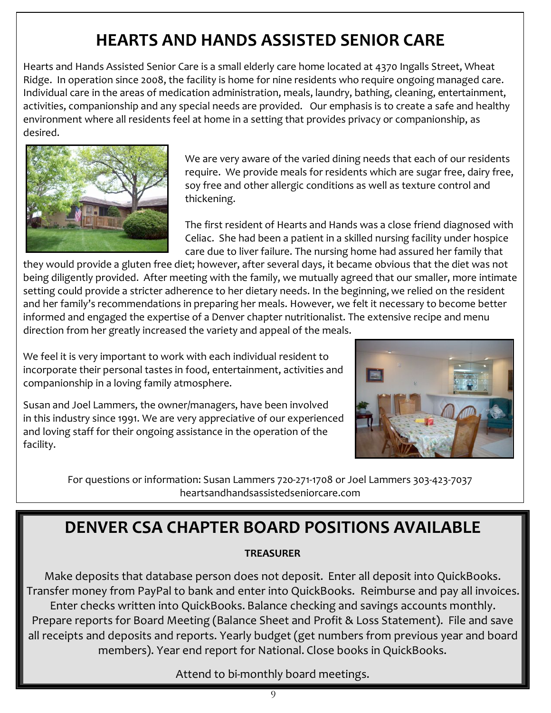# **HEARTS AND HANDS ASSISTED SENIOR CARE**

Hearts and Hands Assisted Senior Care is a small elderly care home located at 4370 Ingalls Street, Wheat Ridge. In operation since 2008, the facility is home for nine residents who require ongoing managed care. Individual care in the areas of medication administration, meals, laundry, bathing, cleaning, entertainment, activities, companionship and any special needs are provided. Our emphasis is to create a safe and healthy environment where all residents feel at home in a setting that provides privacy or companionship, as desired.



We are very aware of the varied dining needs that each of our residents require. We provide meals for residents which are sugar free, dairy free, soy free and other allergic conditions as well as texture control and thickening.

The first resident of Hearts and Hands was a close friend diagnosed with Celiac. She had been a patient in a skilled nursing facility under hospice care due to liver failure. The nursing home had assured her family that

they would provide a gluten free diet; however, after several days, it became obvious that the diet was not being diligently provided. After meeting with the family, we mutually agreed that our smaller, more intimate setting could provide a stricter adherence to her dietary needs. In the beginning, we relied on the resident and her family's recommendations in preparing her meals. However, we felt it necessary to become better informed and engaged the expertise of a Denver chapter nutritionalist. The extensive recipe and menu direction from her greatly increased the variety and appeal of the meals.

We feel it is very important to work with each individual resident to incorporate their personal tastes in food, entertainment, activities and companionship in a loving family atmosphere.



Susan and Joel Lammers, the owner/managers, have been involved in this industry since 1991. We are very appreciative of our experienced and loving staff for their ongoing assistance in the operation of the facility.

> For questions or information: Susan Lammers 720-271-1708 or Joel Lammers 303-423-7037 heartsandhandsassistedseniorcare.com

### **DENVER CSA CHAPTER BOARD POSITIONS AVAILABLE**

#### **TREASURER**

Make deposits that database person does not deposit. Enter all deposit into QuickBooks. Transfer money from PayPal to bank and enter into QuickBooks. Reimburse and pay all invoices. Enter checks written into QuickBooks. Balance checking and savings accounts monthly. Prepare reports for Board Meeting (Balance Sheet and Profit & Loss Statement). File and save all receipts and deposits and reports. Yearly budget (get numbers from previous year and board members). Year end report for National. Close books in QuickBooks.

Attend to bi-monthly board meetings.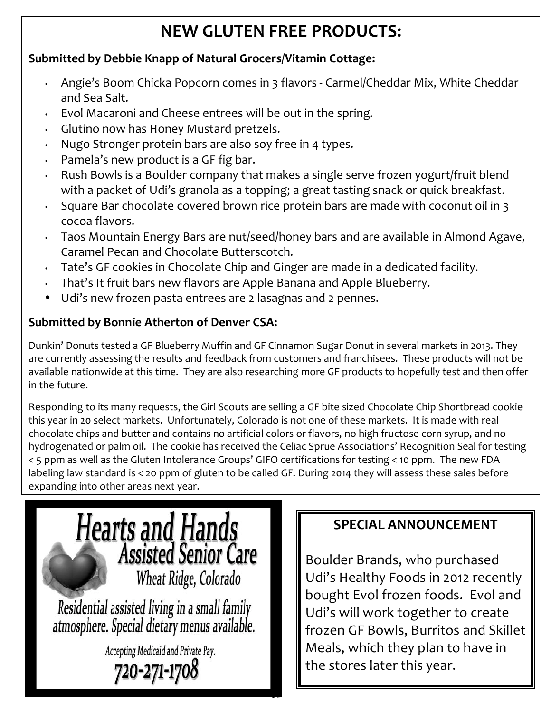# **NEW GLUTEN FREE PRODUCTS:**

#### Submitted by Debbie Knapp of Natural Grocers/Vitamin Cottage:

- Angie's Boom Chicka Popcorn comes in 3 flavors Carmel/Cheddar Mix, White Cheddar and Sea Salt.
- Evol Macaroni and Cheese entrees will be out in the spring.
- · Glutino now has Honey Mustard pretzels.
- Nugo Stronger protein bars are also soy free in 4 types.
- Pamela's new product is a GF fig bar.
- Rush Bowls is a Boulder company that makes a single serve frozen yogurt/fruit blend with a packet of Udi's granola as a topping; a great tasting snack or quick breakfast.
- Square Bar chocolate covered brown rice protein bars are made with coconut oil in 3 cocoa flavors.
- · Taos Mountain Energy Bars are nut/seed/honey bars and are available in Almond Agave, Caramel Pecan and Chocolate Butterscotch.
- Tate's GF cookies in Chocolate Chip and Ginger are made in a dedicated facility.
- That's It fruit bars new flavors are Apple Banana and Apple Blueberry.
- Udi's new frozen pasta entrees are 2 lasagnas and 2 pennes.

#### **Submitted by Bonnie Atherton of Denver CSA:**

Dunkin' Donuts tested a GF Blueberry Muffin and GF Cinnamon Sugar Donut in several markets in 2013. They are currently assessing the results and feedback from customers and franchisees. These products will not be available nationwide at this time. They are also researching more GF products to hopefully test and then offer in the future.

Responding to its many requests, the Girl Scouts are selling a GF bite sized Chocolate Chip Shortbread cookie this year in 20 select markets. Unfortunately, Colorado is not one of these markets. It is made with real chocolate chips and butter and contains no artificial colors or flavors, no high fructose corn syrup, and no hydrogenated or palm oil. The cookie has received the Celiac Sprue Associations' Recognition Seal for testing < 5 ppm as well as the Gluten Intolerance Groups' GIFO certifications for testing < 10 ppm. The new FDA labeling law standard is < 20 ppm of gluten to be called GF. During 2014 they will assess these sales before expanding into other areas next year.



### **SPECIAL ANNOUNCEMENT**

Boulder Brands, who purchased Udi's Healthy Foods in 2012 recently bought Evol frozen foods. Evol and Udi's will work together to create frozen GF Bowls, Burritos and Skillet Meals, which they plan to have in the stores later this year.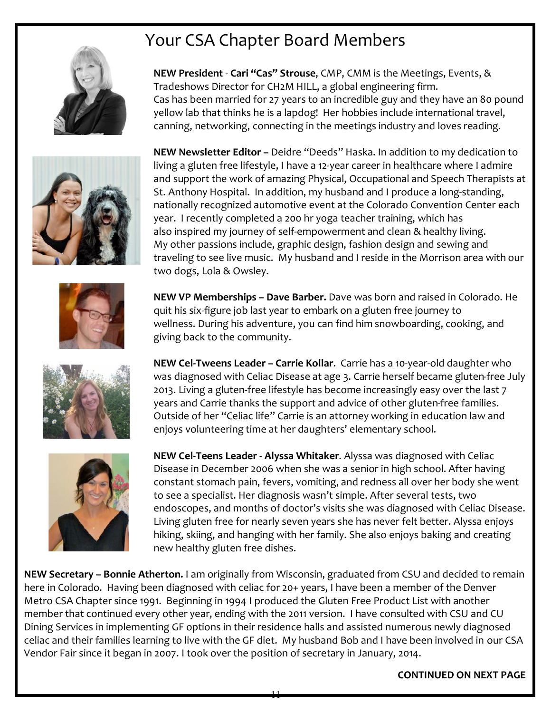# Your CSA Chapter Board Members







NEW President - Cari "Cas" Strouse, CMP, CMM is the Meetings, Events, &

Cas has been married for 27 years to an incredible guy and they have an 80 pound yellow lab that thinks he is a lapdog! Her hobbies include international travel, canning, networking, connecting in the meetings industry and loves reading.

Tradeshows Director for CH2M HILL, a global engineering firm.

NEW VP Memberships - Dave Barber. Dave was born and raised in Colorado. He quit his six-figure job last year to embark on a gluten free journey to wellness. During his adventure, you can find him snowboarding, cooking, and giving back to the community.



NEW Cel-Tweens Leader - Carrie Kollar. Carrie has a 10-year-old daughter who was diagnosed with Celiac Disease at age 3. Carrie herself became gluten-free July 2013. Living a gluten-free lifestyle has become increasingly easy over the last 7 years and Carrie thanks the support and advice of other gluten-free families. Outside of her "Celiac life" Carrie is an attorney working in education law and enjoys volunteering time at her daughters' elementary school.



NEW Cel-Teens Leader - Alyssa Whitaker. Alyssa was diagnosed with Celiac Disease in December 2006 when she was a senior in high school. After having constant stomach pain, fevers, vomiting, and redness all over her body she went to see a specialist. Her diagnosis wasn't simple. After several tests, two endoscopes, and months of doctor's visits she was diagnosed with Celiac Disease. Living gluten free for nearly seven years she has never felt better. Alyssa enjoys hiking, skiing, and hanging with her family. She also enjoys baking and creating new healthy gluten free dishes.

NEW Secretary - Bonnie Atherton. I am originally from Wisconsin, graduated from CSU and decided to remain here in Colorado. Having been diagnosed with celiac for 20+ years, I have been a member of the Denver Metro CSA Chapter since 1991. Beginning in 1994 I produced the Gluten Free Product List with another member that continued every other year, ending with the 2011 version. I have consulted with CSU and CU Dining Services in implementing GF options in their residence halls and assisted numerous newly diagnosed celiac and their families learning to live with the GF diet. My husband Bob and I have been involved in our CSA Vendor Fair since it began in 2007. I took over the position of secretary in January, 2014.

**CONTINUED ON NEXT PAGE**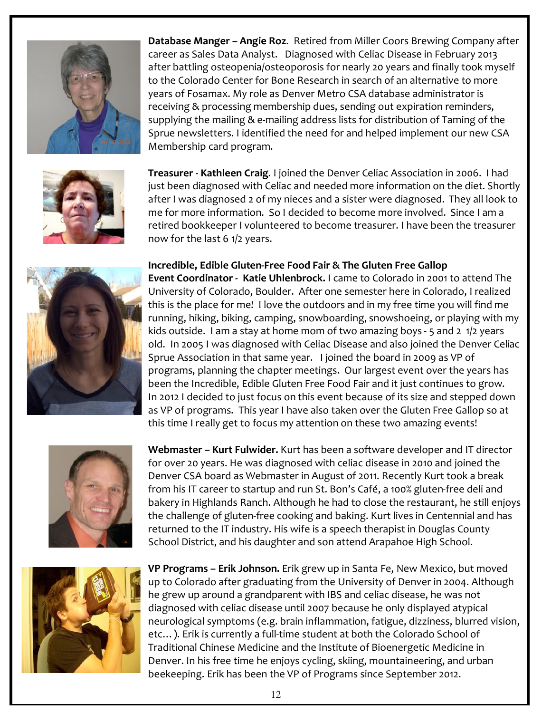

Database Manger - Angie Roz. Retired from Miller Coors Brewing Company after career as Sales Data Analyst. Diagnosed with Celiac Disease in February 2013 after battling osteopenia/osteoporosis for nearly 20 years and finally took myself to the Colorado Center for Bone Research in search of an alternative to more years of Fosamax. My role as Denver Metro CSA database administrator is receiving & processing membership dues, sending out expiration reminders, supplying the mailing & e-mailing address lists for distribution of Taming of the Sprue newsletters. I identified the need for and helped implement our new CSA Membership card program.

Treasurer - Kathleen Craig. I joined the Denver Celiac Association in 2006. I had just been diagnosed with Celiac and needed more information on the diet. Shortly after I was diagnosed 2 of my nieces and a sister were diagnosed. They all look to me for more information. So I decided to become more involved. Since I am a retired bookkeeper I volunteered to become treasurer. I have been the treasurer now for the last 6 1/2 years.

#### Incredible, Edible Gluten-Free Food Fair & The Gluten Free Gallop

Event Coordinator - Katie Uhlenbrock. I came to Colorado in 2001 to attend The University of Colorado, Boulder. After one semester here in Colorado, I realized this is the place for me! I love the outdoors and in my free time you will find me running, hiking, biking, camping, snowboarding, snowshoeing, or playing with my kids outside. I am a stay at home mom of two amazing boys - 5 and 2 1/2 years old. In 2005 I was diagnosed with Celiac Disease and also joined the Denver Celiac Sprue Association in that same year. I joined the board in 2009 as VP of programs, planning the chapter meetings. Our largest event over the years has been the Incredible, Edible Gluten Free Food Fair and it just continues to grow. In 2012 I decided to just focus on this event because of its size and stepped down as VP of programs. This year I have also taken over the Gluten Free Gallop so at this time I really get to focus my attention on these two amazing events!



Webmaster - Kurt Fulwider. Kurt has been a software developer and IT director for over 20 years. He was diagnosed with celiac disease in 2010 and joined the Denver CSA board as Webmaster in August of 2011. Recently Kurt took a break from his IT career to startup and run St. Bon's Café, a 100% gluten-free deli and bakery in Highlands Ranch. Although he had to close the restaurant, he still enjoys the challenge of gluten-free cooking and baking. Kurt lives in Centennial and has returned to the IT industry. His wife is a speech therapist in Douglas County School District, and his daughter and son attend Arapahoe High School.



VP Programs – Erik Johnson. Erik grew up in Santa Fe, New Mexico, but moved up to Colorado after graduating from the University of Denver in 2004. Although he grew up around a grandparent with IBS and celiac disease, he was not diagnosed with celiac disease until 2007 because he only displayed atypical neurological symptoms (e.g. brain inflammation, fatigue, dizziness, blurred vision, etc...). Erik is currently a full-time student at both the Colorado School of Traditional Chinese Medicine and the Institute of Bioenergetic Medicine in Denver. In his free time he enjoys cycling, skiing, mountaineering, and urban beekeeping. Erik has been the VP of Programs since September 2012.

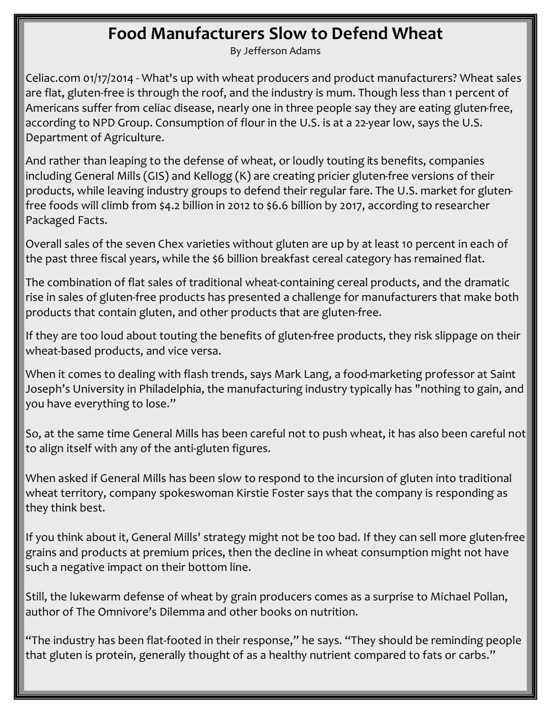### **Food Manufacturers Slow to Defend Wheat**

By Jefferson Adams

Celiac.com 01/17/2014 - What's up with wheat producers and product manufacturers? Wheat sales are flat, gluten-free is through the roof, and the industry is mum. Though less than 1 percent of Americans suffer from celiac disease, nearly one in three people say they are eating gluten-free, according to NPD Group. Consumption of flour in the U.S. is at a 22-year low, says the U.S. Department of Agriculture.

And rather than leaping to the defense of wheat, or loudly touting its benefits, companies including General Mills (GIS) and Kellogg (K) are creating pricier gluten-free versions of their products, while leaving industry groups to defend their regular fare. The U.S. market for glutenfree foods will climb from \$4.2 billion in 2012 to \$6.6 billion by 2017, according to researcher Packaged Facts.

Overall sales of the seven Chex varieties without gluten are up by at least 10 percent in each of the past three fiscal years, while the \$6 billion breakfast cereal category has remained flat.

The combination of flat sales of traditional wheat-containing cereal products, and the dramatic rise in sales of gluten-free products has presented a challenge for manufacturers that make both products that contain gluten, and other products that are gluten-free.

If they are too loud about touting the benefits of gluten-free products, they risk slippage on their wheat-based products, and vice versa.

When it comes to dealing with flash trends, says Mark Lang, a food-marketing professor at Saint Joseph's University in Philadelphia, the manufacturing industry typically has "nothing to gain, and you have everything to lose."

So, at the same time General Mills has been careful not to push wheat, it has also been careful not to align itself with any of the anti-gluten figures.

When asked if General Mills has been slow to respond to the incursion of gluten into traditional wheat territory, company spokeswoman Kirstie Foster says that the company is responding as they think best.

If you think about it, General Mills' strategy might not be too bad. If they can sell more gluten-free grains and products at premium prices, then the decline in wheat consumption might not have such a negative impact on their bottom line.

Still, the lukewarm defense of wheat by grain producers comes as a surprise to Michael Pollan, author of The Omnivore's Dilemma and other books on nutrition.

"The industry has been flat-footed in their response," he says. "They should be reminding people that gluten is protein, generally thought of as a healthy nutrient compared to fats or carbs."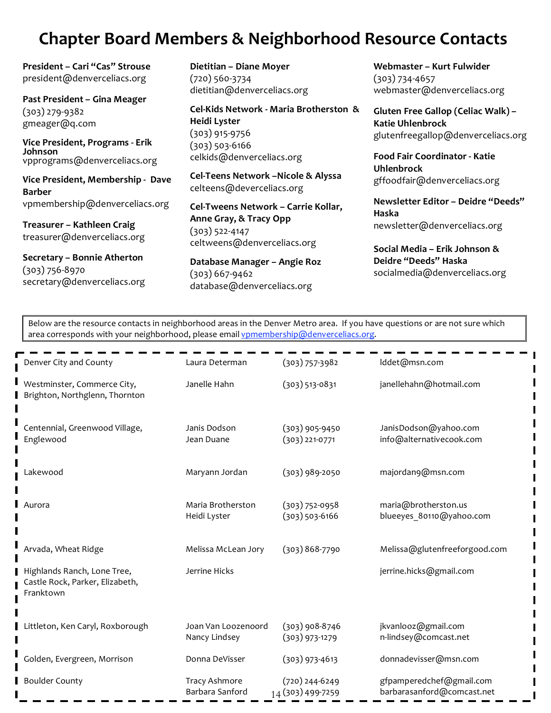### **Chapter Board Members & Neighborhood Resource Contacts**

President - Cari "Cas" Strouse president@denverceliacs.org

Past President - Gina Meager  $(303)$  279-9382 gmeager@q.com

Vice President, Programs - Erik Johnson vpprograms@denverceliacs.org

Vice President, Membership - Dave **Barber** vpmembership@denverceliacs.org

Treasurer - Kathleen Craig treasurer@denverceliacs.org

Secretary - Bonnie Atherton  $(303) 756 - 8970$ secretary@denverceliacs.org Dietitian - Diane Moyer  $(720)$  560-3734 dietitian@denverceliacs.org

Cel-Kids Network - Maria Brotherston & **Heidi Lyster**  $(303)$  915-9756  $(303)$  503-6166 celkids@denverceliacs.org

Cel-Teens Network - Nicole & Alyssa celteens@deverceliacs.org

Cel-Tweens Network - Carrie Kollar, Anne Gray, & Tracy Opp  $(303)$  522-4147 celtweens@denverceliacs.org

Database Manager - Angie Roz  $(303) 667 - 9462$ database@denverceliacs.org

Webmaster - Kurt Fulwider  $(303) 734 - 4657$ webmaster@denverceliacs.org

Gluten Free Gallop (Celiac Walk) -**Katie Uhlenbrock** glutenfreegallop@denverceliacs.org

Food Fair Coordinator - Katie **Uhlenbrock** gffoodfair@denverceliacs.org

Newsletter Editor - Deidre "Deeds" Haska newsletter@denverceliacs.org

Social Media - Erik Johnson & Deidre "Deeds" Haska socialmedia@denverceliacs.org

Below are the resource contacts in neighborhood areas in the Denver Metro area. If you have questions or are not sure which area corresponds with your neighborhood, please email vpmembership@denverceliacs.org.

| Denver City and County                                                      | Laura Determan                          | $(303)$ 757-3982                       | Iddet@msn.com                                          |
|-----------------------------------------------------------------------------|-----------------------------------------|----------------------------------------|--------------------------------------------------------|
| Westminster, Commerce City,<br>Brighton, Northglenn, Thornton               | Janelle Hahn                            | $(303)$ 513-0831                       | janellehahn@hotmail.com                                |
| Centennial, Greenwood Village,<br>Englewood                                 | Janis Dodson<br>Jean Duane              | $(303)$ 905-9450<br>$(303)$ 221-0771   | JanisDodson@yahoo.com<br>info@alternativecook.com      |
| Lakewood                                                                    | Maryann Jordan                          | $(303)$ 989-2050                       | majordan9@msn.com                                      |
| Aurora                                                                      | Maria Brotherston<br>Heidi Lyster       | $(303) 752 - 0958$<br>$(303)$ 503-6166 | maria@brotherston.us<br>blueeyes_80110@yahoo.com       |
| Arvada, Wheat Ridge                                                         | Melissa McLean Jory                     | $(303)868-7790$                        | Melissa@glutenfreeforgood.com                          |
| Highlands Ranch, Lone Tree,<br>Castle Rock, Parker, Elizabeth,<br>Franktown | Jerrine Hicks                           |                                        | jerrine.hicks@gmail.com                                |
| Littleton, Ken Caryl, Roxborough                                            | Joan Van Loozenoord<br>Nancy Lindsey    | $(303)$ 908-8746<br>$(303)$ 973-1279   | jkvanlooz@gmail.com<br>n-lindsey@comcast.net           |
| Golden, Evergreen, Morrison                                                 | Donna DeVisser                          | $(303)$ 973-4613                       | donnadevisser@msn.com                                  |
| <b>Boulder County</b>                                                       | <b>Tracy Ashmore</b><br>Barbara Sanford | $(720)$ 244-6249<br>14 (303) 499-7259  | gfpamperedchef@gmail.com<br>barbarasanford@comcast.net |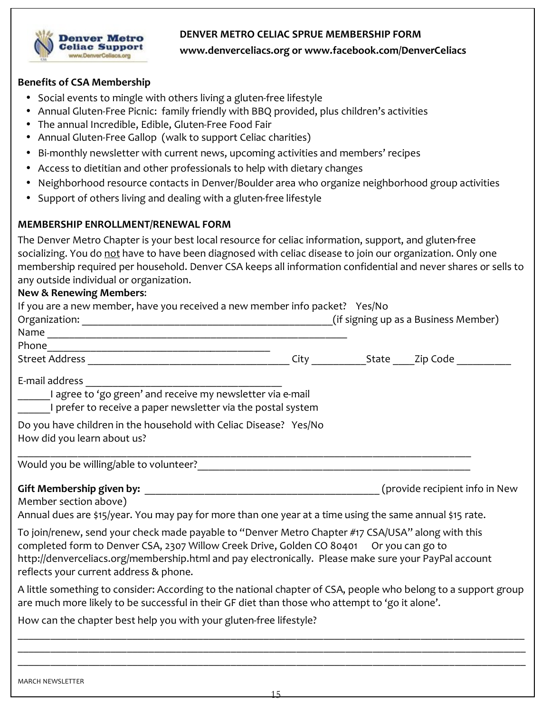#### DENVER METRO CELIAC SPRUE MEMBERSHIP FORM



#### www.denverceliacs.org or www.facebook.com/DenverCeliacs

#### **Benefits of CSA Membership**

- Social events to mingle with others living a gluten-free lifestyle
- Annual Gluten-Free Picnic: family friendly with BBQ provided, plus children's activities
- The annual Incredible, Edible, Gluten-Free Food Fair
- Annual Gluten-Free Gallop (walk to support Celiac charities)
- Bi-monthly newsletter with current news, upcoming activities and members' recipes
- Access to dietitian and other professionals to help with dietary changes
- Neighborhood resource contacts in Denver/Boulder area who organize neighborhood group activities
- Support of others living and dealing with a gluten-free lifestyle

#### MEMBERSHIP ENROLLMENT/RENEWAL FORM

The Denver Metro Chapter is your best local resource for celiac information, support, and gluten-free socializing. You do not have to have been diagnosed with celiac disease to join our organization. Only one membership required per household. Denver CSA keeps all information confidential and never shares or sells to any outside individual or organization.

#### **New & Renewing Members:**

| If you are a new member, have you received a new member info packet? Yes/No                                                                                                                                                                                                                                                                     |  |  |
|-------------------------------------------------------------------------------------------------------------------------------------------------------------------------------------------------------------------------------------------------------------------------------------------------------------------------------------------------|--|--|
|                                                                                                                                                                                                                                                                                                                                                 |  |  |
|                                                                                                                                                                                                                                                                                                                                                 |  |  |
|                                                                                                                                                                                                                                                                                                                                                 |  |  |
| E-mail address                                                                                                                                                                                                                                                                                                                                  |  |  |
| I agree to 'go green' and receive my newsletter via e-mail<br>I prefer to receive a paper newsletter via the postal system                                                                                                                                                                                                                      |  |  |
| Do you have children in the household with Celiac Disease? Yes/No<br>How did you learn about us?                                                                                                                                                                                                                                                |  |  |
|                                                                                                                                                                                                                                                                                                                                                 |  |  |
| Member section above)<br>Annual dues are \$15/year. You may pay for more than one year at a time using the same annual \$15 rate.                                                                                                                                                                                                               |  |  |
| To join/renew, send your check made payable to "Denver Metro Chapter #17 CSA/USA" along with this<br>completed form to Denver CSA, 2307 Willow Creek Drive, Golden CO 80401 Or you can go to<br>http://denverceliacs.org/membership.html and pay electronically. Please make sure your PayPal account<br>reflects your current address & phone. |  |  |
| A little something to consider: According to the national chapter of CSA, people who belong to a support group<br>are much more likely to be successful in their GF diet than those who attempt to 'go it alone'.                                                                                                                               |  |  |
| How can the chapter best help you with your gluten-free lifestyle?                                                                                                                                                                                                                                                                              |  |  |
|                                                                                                                                                                                                                                                                                                                                                 |  |  |
|                                                                                                                                                                                                                                                                                                                                                 |  |  |